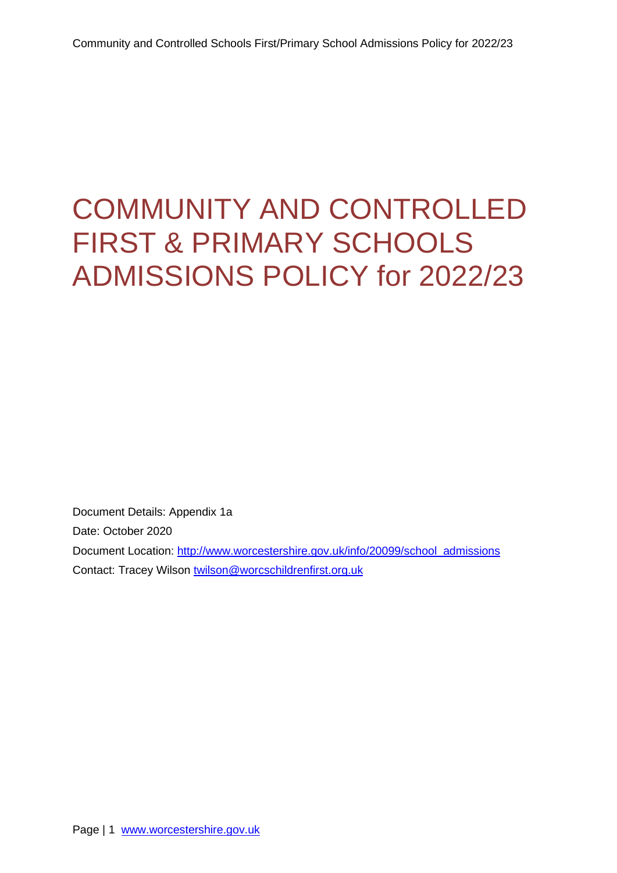# <span id="page-0-0"></span>COMMUNITY AND CONTROLLED FIRST & PRIMARY SCHOOLS ADMISSIONS POLICY for 2022/23

Document Details: Appendix 1a Date: October 2020 Document Location: [http://www.worcestershire.gov.uk/info/20099/school\\_admissions](http://www.worcestershire.gov.uk/info/20099/school_admissions) Contact: Tracey Wilson [twilson@worcschildrenfirst.org.uk](mailto:twilson@worcschildrenfirst.org.uk)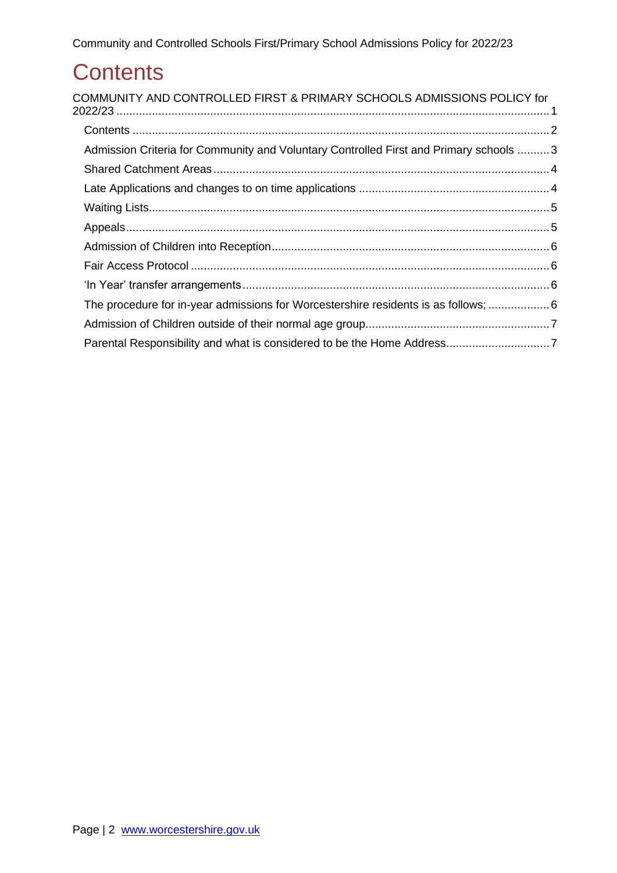# <span id="page-1-0"></span>**Contents**

| COMMUNITY AND CONTROLLED FIRST & PRIMARY SCHOOLS ADMISSIONS POLICY for                 |  |
|----------------------------------------------------------------------------------------|--|
|                                                                                        |  |
| Admission Criteria for Community and Voluntary Controlled First and Primary schools  3 |  |
|                                                                                        |  |
|                                                                                        |  |
|                                                                                        |  |
|                                                                                        |  |
|                                                                                        |  |
|                                                                                        |  |
|                                                                                        |  |
| The procedure for in-year admissions for Worcestershire residents is as follows;  6    |  |
|                                                                                        |  |
|                                                                                        |  |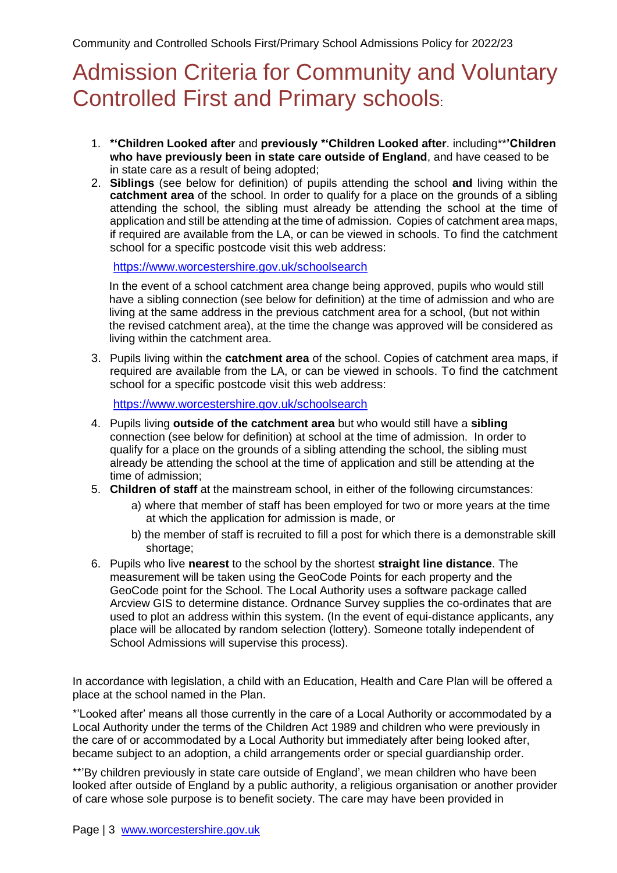### <span id="page-2-0"></span>Admission Criteria for Community and Voluntary Controlled First and Primary schools:

- 1. **\*'Children Looked after** and **previously \*'Children Looked after**. including\*\***'Children who have previously been in state care outside of England**, and have ceased to be in state care as a result of being adopted;
- 2. **Siblings** (see below for definition) of pupils attending the school **and** living within the **catchment area** of the school. In order to qualify for a place on the grounds of a sibling attending the school, the sibling must already be attending the school at the time of application and still be attending at the time of admission. Copies of catchment area maps, if required are available from the LA, or can be viewed in schools. To find the catchment school for a specific postcode visit this web address:

<https://www.worcestershire.gov.uk/schoolsearch>

In the event of a school catchment area change being approved, pupils who would still have a sibling connection (see below for definition) at the time of admission and who are living at the same address in the previous catchment area for a school, (but not within the revised catchment area), at the time the change was approved will be considered as living within the catchment area.

3. Pupils living within the **catchment area** of the school. Copies of catchment area maps, if required are available from the LA, or can be viewed in schools. To find the catchment school for a specific postcode visit this web address:

<https://www.worcestershire.gov.uk/schoolsearch>

- 4. Pupils living **outside of the catchment area** but who would still have a **sibling** connection (see below for definition) at school at the time of admission. In order to qualify for a place on the grounds of a sibling attending the school, the sibling must already be attending the school at the time of application and still be attending at the time of admission;
- 5. **Children of staff** at the mainstream school, in either of the following circumstances:
	- a) where that member of staff has been employed for two or more years at the time at which the application for admission is made, or
	- b) the member of staff is recruited to fill a post for which there is a demonstrable skill shortage;
- 6. Pupils who live **nearest** to the school by the shortest **straight line distance**. The measurement will be taken using the GeoCode Points for each property and the GeoCode point for the School. The Local Authority uses a software package called Arcview GIS to determine distance. Ordnance Survey supplies the co-ordinates that are used to plot an address within this system. (In the event of equi-distance applicants, any place will be allocated by random selection (lottery). Someone totally independent of School Admissions will supervise this process).

In accordance with legislation, a child with an Education, Health and Care Plan will be offered a place at the school named in the Plan.

\*'Looked after' means all those currently in the care of a Local Authority or accommodated by a Local Authority under the terms of the Children Act 1989 and children who were previously in the care of or accommodated by a Local Authority but immediately after being looked after, became subject to an adoption, a child arrangements order or special guardianship order.

\*\*'By children previously in state care outside of England', we mean children who have been looked after outside of England by a public authority, a religious organisation or another provider of care whose sole purpose is to benefit society. The care may have been provided in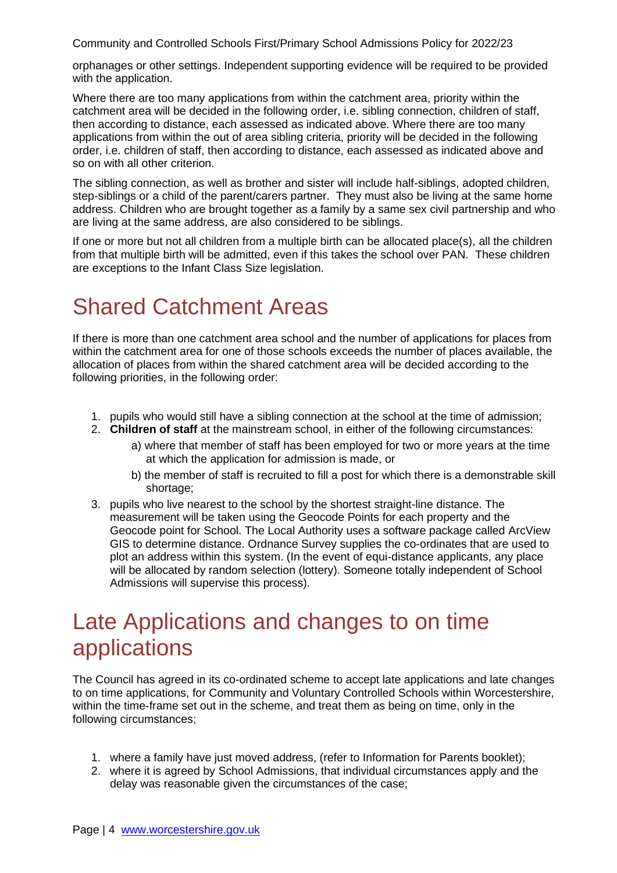orphanages or other settings. Independent supporting evidence will be required to be provided with the application.

Where there are too many applications from within the catchment area, priority within the catchment area will be decided in the following order, i.e. sibling connection, children of staff, then according to distance, each assessed as indicated above. Where there are too many applications from within the out of area sibling criteria, priority will be decided in the following order, i.e. children of staff, then according to distance, each assessed as indicated above and so on with all other criterion.

The sibling connection, as well as brother and sister will include half-siblings, adopted children, step-siblings or a child of the parent/carers partner. They must also be living at the same home address. Children who are brought together as a family by a same sex civil partnership and who are living at the same address, are also considered to be siblings.

If one or more but not all children from a multiple birth can be allocated place(s), all the children from that multiple birth will be admitted, even if this takes the school over PAN. These children are exceptions to the Infant Class Size legislation.

# <span id="page-3-0"></span>Shared Catchment Areas

If there is more than one catchment area school and the number of applications for places from within the catchment area for one of those schools exceeds the number of places available, the allocation of places from within the shared catchment area will be decided according to the following priorities, in the following order:

- 1. pupils who would still have a sibling connection at the school at the time of admission;
- 2. **Children of staff** at the mainstream school, in either of the following circumstances:
	- a) where that member of staff has been employed for two or more years at the time at which the application for admission is made, or
	- b) the member of staff is recruited to fill a post for which there is a demonstrable skill shortage;
- 3. pupils who live nearest to the school by the shortest straight-line distance. The measurement will be taken using the Geocode Points for each property and the Geocode point for School. The Local Authority uses a software package called ArcView GIS to determine distance. Ordnance Survey supplies the co-ordinates that are used to plot an address within this system. (In the event of equi-distance applicants, any place will be allocated by random selection (lottery). Someone totally independent of School Admissions will supervise this process).

### <span id="page-3-1"></span>Late Applications and changes to on time applications

The Council has agreed in its co-ordinated scheme to accept late applications and late changes to on time applications, for Community and Voluntary Controlled Schools within Worcestershire, within the time-frame set out in the scheme, and treat them as being on time, only in the following circumstances;

- 1. where a family have just moved address, (refer to Information for Parents booklet);
- 2. where it is agreed by School Admissions, that individual circumstances apply and the delay was reasonable given the circumstances of the case;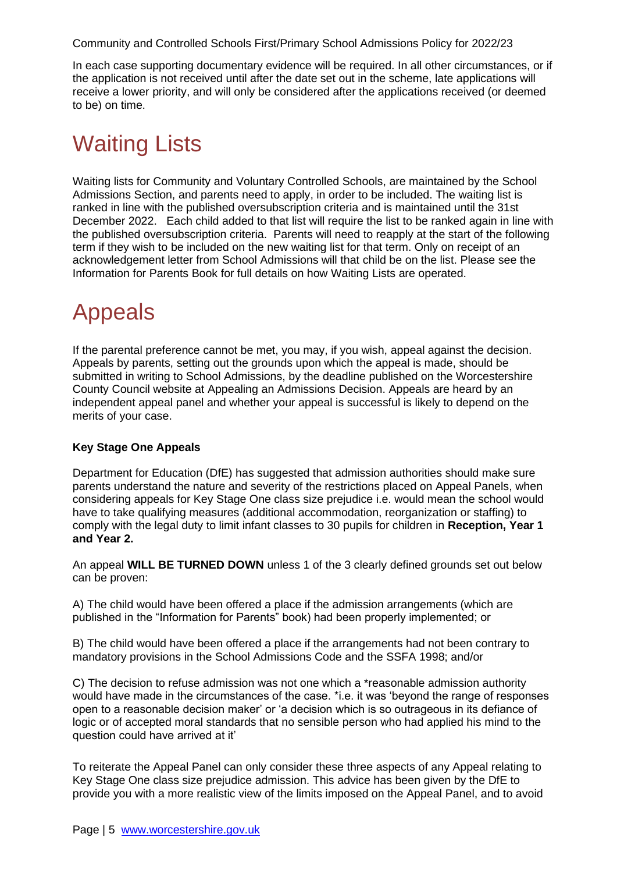In each case supporting documentary evidence will be required. In all other circumstances, or if the application is not received until after the date set out in the scheme, late applications will receive a lower priority, and will only be considered after the applications received (or deemed to be) on time.

# <span id="page-4-0"></span>Waiting Lists

Waiting lists for Community and Voluntary Controlled Schools, are maintained by the School Admissions Section, and parents need to apply, in order to be included. The waiting list is ranked in line with the published oversubscription criteria and is maintained until the 31st December 2022. Each child added to that list will require the list to be ranked again in line with the published oversubscription criteria. Parents will need to reapply at the start of the following term if they wish to be included on the new waiting list for that term. Only on receipt of an acknowledgement letter from School Admissions will that child be on the list. Please see the Information for Parents Book for full details on how Waiting Lists are operated.

### <span id="page-4-1"></span>Appeals

If the parental preference cannot be met, you may, if you wish, appeal against the decision. Appeals by parents, setting out the grounds upon which the appeal is made, should be submitted in writing to School Admissions, by the deadline published on the Worcestershire County Council website at Appealing an Admissions Decision. Appeals are heard by an independent appeal panel and whether your appeal is successful is likely to depend on the merits of your case.

#### **Key Stage One Appeals**

Department for Education (DfE) has suggested that admission authorities should make sure parents understand the nature and severity of the restrictions placed on Appeal Panels, when considering appeals for Key Stage One class size prejudice i.e. would mean the school would have to take qualifying measures (additional accommodation, reorganization or staffing) to comply with the legal duty to limit infant classes to 30 pupils for children in **Reception, Year 1 and Year 2.** 

An appeal **WILL BE TURNED DOWN** unless 1 of the 3 clearly defined grounds set out below can be proven:

A) The child would have been offered a place if the admission arrangements (which are published in the "Information for Parents" book) had been properly implemented; or

B) The child would have been offered a place if the arrangements had not been contrary to mandatory provisions in the School Admissions Code and the SSFA 1998; and/or

C) The decision to refuse admission was not one which a \*reasonable admission authority would have made in the circumstances of the case. \*i.e. it was 'beyond the range of responses open to a reasonable decision maker' or 'a decision which is so outrageous in its defiance of logic or of accepted moral standards that no sensible person who had applied his mind to the question could have arrived at it'

To reiterate the Appeal Panel can only consider these three aspects of any Appeal relating to Key Stage One class size prejudice admission. This advice has been given by the DfE to provide you with a more realistic view of the limits imposed on the Appeal Panel, and to avoid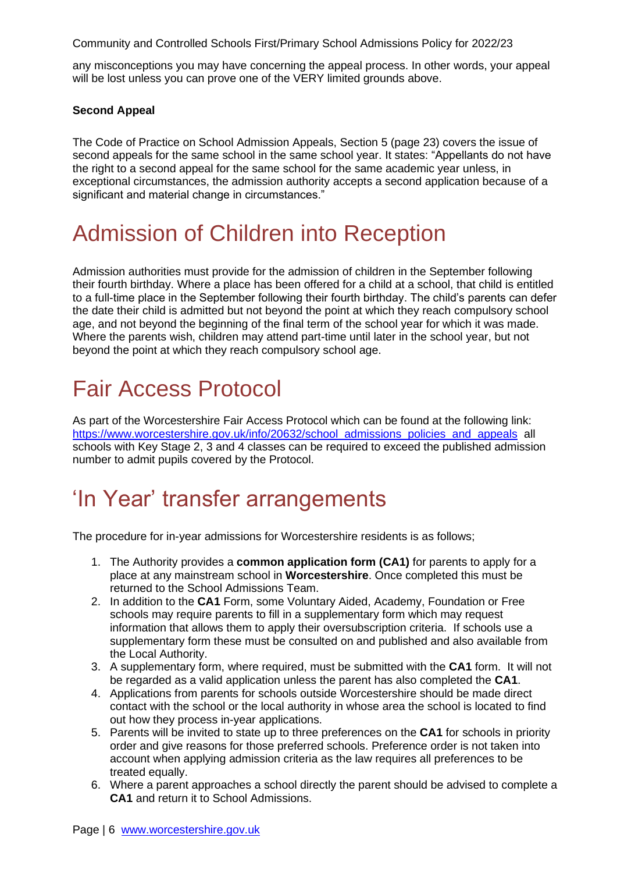any misconceptions you may have concerning the appeal process. In other words, your appeal will be lost unless you can prove one of the VERY limited grounds above.

#### **Second Appeal**

The Code of Practice on School Admission Appeals, Section 5 (page 23) covers the issue of second appeals for the same school in the same school year. It states: "Appellants do not have the right to a second appeal for the same school for the same academic year unless, in exceptional circumstances, the admission authority accepts a second application because of a significant and material change in circumstances."

### <span id="page-5-0"></span>Admission of Children into Reception

Admission authorities must provide for the admission of children in the September following their fourth birthday. Where a place has been offered for a child at a school, that child is entitled to a full-time place in the September following their fourth birthday. The child's parents can defer the date their child is admitted but not beyond the point at which they reach compulsory school age, and not beyond the beginning of the final term of the school year for which it was made. Where the parents wish, children may attend part-time until later in the school year, but not beyond the point at which they reach compulsory school age.

# <span id="page-5-1"></span>Fair Access Protocol

As part of the Worcestershire Fair Access Protocol which can be found at the following link: https://www.worcestershire.gov.uk/info/20632/school\_admissions\_policies\_and\_appeals\_all schools with Key Stage 2, 3 and 4 classes can be required to exceed the published admission number to admit pupils covered by the Protocol.

### <span id="page-5-2"></span>'In Year' transfer arrangements

<span id="page-5-3"></span>The procedure for in-year admissions for Worcestershire residents is as follows;

- 1. The Authority provides a **common application form (CA1)** for parents to apply for a place at any mainstream school in **Worcestershire**. Once completed this must be returned to the School Admissions Team.
- 2. In addition to the **CA1** Form, some Voluntary Aided, Academy, Foundation or Free schools may require parents to fill in a supplementary form which may request information that allows them to apply their oversubscription criteria. If schools use a supplementary form these must be consulted on and published and also available from the Local Authority.
- 3. A supplementary form, where required, must be submitted with the **CA1** form. It will not be regarded as a valid application unless the parent has also completed the **CA1**.
- 4. Applications from parents for schools outside Worcestershire should be made direct contact with the school or the local authority in whose area the school is located to find out how they process in-year applications.
- 5. Parents will be invited to state up to three preferences on the **CA1** for schools in priority order and give reasons for those preferred schools. Preference order is not taken into account when applying admission criteria as the law requires all preferences to be treated equally.
- 6. Where a parent approaches a school directly the parent should be advised to complete a **CA1** and return it to School Admissions.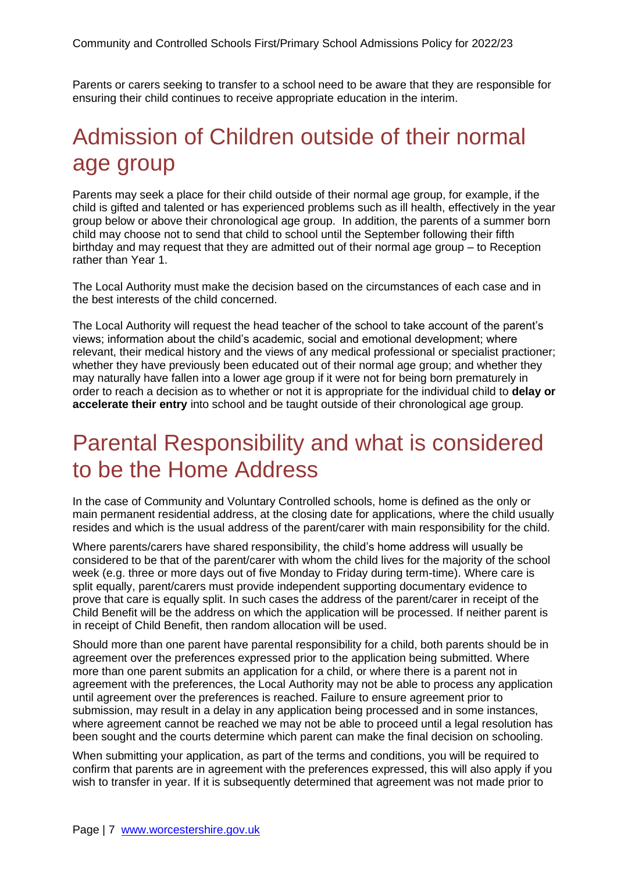Parents or carers seeking to transfer to a school need to be aware that they are responsible for ensuring their child continues to receive appropriate education in the interim.

### <span id="page-6-0"></span>Admission of Children outside of their normal age group

Parents may seek a place for their child outside of their normal age group, for example, if the child is gifted and talented or has experienced problems such as ill health, effectively in the year group below or above their chronological age group. In addition, the parents of a summer born child may choose not to send that child to school until the September following their fifth birthday and may request that they are admitted out of their normal age group – to Reception rather than Year 1.

The Local Authority must make the decision based on the circumstances of each case and in the best interests of the child concerned.

The Local Authority will request the head teacher of the school to take account of the parent's views; information about the child's academic, social and emotional development; where relevant, their medical history and the views of any medical professional or specialist practioner; whether they have previously been educated out of their normal age group; and whether they may naturally have fallen into a lower age group if it were not for being born prematurely in order to reach a decision as to whether or not it is appropriate for the individual child to **delay or accelerate their entry** into school and be taught outside of their chronological age group.

### <span id="page-6-1"></span>Parental Responsibility and what is considered to be the Home Address

In the case of Community and Voluntary Controlled schools, home is defined as the only or main permanent residential address, at the closing date for applications, where the child usually resides and which is the usual address of the parent/carer with main responsibility for the child.

Where parents/carers have shared responsibility, the child's home address will usually be considered to be that of the parent/carer with whom the child lives for the majority of the school week (e.g. three or more days out of five Monday to Friday during term-time). Where care is split equally, parent/carers must provide independent supporting documentary evidence to prove that care is equally split. In such cases the address of the parent/carer in receipt of the Child Benefit will be the address on which the application will be processed. If neither parent is in receipt of Child Benefit, then random allocation will be used.

Should more than one parent have parental responsibility for a child, both parents should be in agreement over the preferences expressed prior to the application being submitted. Where more than one parent submits an application for a child, or where there is a parent not in agreement with the preferences, the Local Authority may not be able to process any application until agreement over the preferences is reached. Failure to ensure agreement prior to submission, may result in a delay in any application being processed and in some instances, where agreement cannot be reached we may not be able to proceed until a legal resolution has been sought and the courts determine which parent can make the final decision on schooling.

When submitting your application, as part of the terms and conditions, you will be required to confirm that parents are in agreement with the preferences expressed, this will also apply if you wish to transfer in year. If it is subsequently determined that agreement was not made prior to